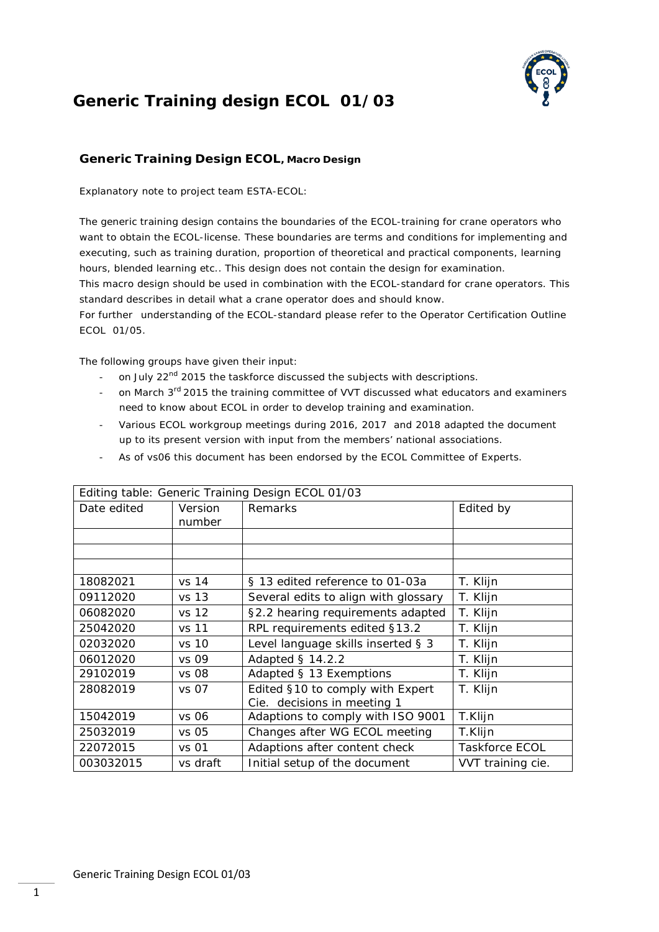

#### **Generic Training Design ECOL, Macro Design**

Explanatory note to project team ESTA-ECOL:

The generic training design contains the boundaries of the ECOL-training for crane operators who want to obtain the ECOL-license. These boundaries are terms and conditions for implementing and executing, such as training duration, proportion of theoretical and practical components, learning hours, blended learning etc.. This design does not contain the design for examination.

This macro design should be used in combination with the ECOL-standard for crane operators. This standard describes in detail what a crane operator does and should know.

For further understanding of the ECOL-standard please refer to the Operator Certification Outline ECOL 01/05.

The following groups have given their input:

- on July 22<sup>nd</sup> 2015 the taskforce discussed the subjects with descriptions.
- on March  $3<sup>rd</sup>$  2015 the training committee of VVT discussed what educators and examiners need to know about ECOL in order to develop training and examination.
- Various ECOL workgroup meetings during 2016, 2017 and 2018 adapted the document up to its present version with input from the members' national associations.
- As of vs06 this document has been endorsed by the ECOL Committee of Experts.

| Editing table: Generic Training Design ECOL 01/03 |          |                                      |                   |  |
|---------------------------------------------------|----------|--------------------------------------|-------------------|--|
| Date edited                                       | Version  | Remarks                              | Edited by         |  |
|                                                   | number   |                                      |                   |  |
|                                                   |          |                                      |                   |  |
|                                                   |          |                                      |                   |  |
|                                                   |          |                                      |                   |  |
| 18082021                                          | $vs$ 14  | § 13 edited reference to 01-03a      | T. Klijn          |  |
| 09112020                                          | vs 13    | Several edits to align with glossary | T. Klijn          |  |
| 06082020                                          | $vs$ 12  | §2.2 hearing requirements adapted    | T. Klijn          |  |
| 25042020                                          | vs 11    | RPL requirements edited §13.2        | T. Klijn          |  |
| 02032020                                          | vs 10    | Level language skills inserted § 3   | T. Klijn          |  |
| 06012020                                          | vs 09    | Adapted $\S$ 14.2.2                  | T. Klijn          |  |
| 29102019                                          | vs 08    | Adapted § 13 Exemptions              | T. Klijn          |  |
| 28082019                                          | vs 07    | Edited §10 to comply with Expert     | T. Klijn          |  |
|                                                   |          | Cie. decisions in meeting 1          |                   |  |
| 15042019                                          | vs.06    | Adaptions to comply with ISO 9001    | T.Klijn           |  |
| 25032019                                          | $vs$ 05  | Changes after WG ECOL meeting        | T.Klijn           |  |
| 22072015                                          | vs 01    | Adaptions after content check        | Taskforce ECOL    |  |
| 003032015                                         | vs draft | Initial setup of the document        | VVT training cie. |  |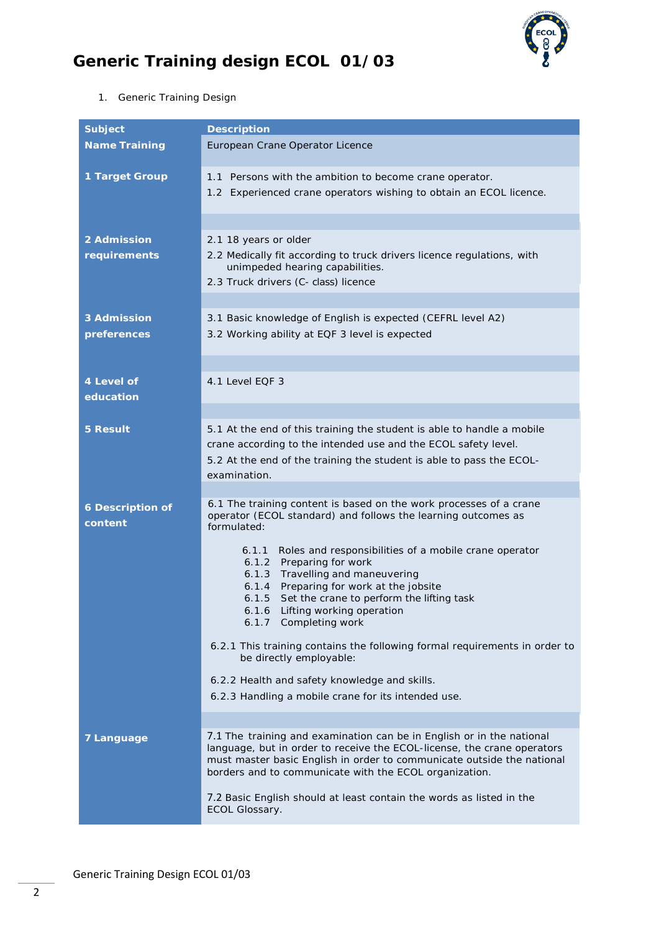

1. Generic Training Design

| <b>Subject</b>          | <b>Description</b>                                                                                                                               |  |  |
|-------------------------|--------------------------------------------------------------------------------------------------------------------------------------------------|--|--|
| <b>Name Training</b>    | European Crane Operator Licence                                                                                                                  |  |  |
|                         |                                                                                                                                                  |  |  |
| 1 Target Group          | 1.1 Persons with the ambition to become crane operator.                                                                                          |  |  |
|                         | 1.2 Experienced crane operators wishing to obtain an ECOL licence.                                                                               |  |  |
|                         |                                                                                                                                                  |  |  |
|                         |                                                                                                                                                  |  |  |
| <b>2 Admission</b>      | 2.1 18 years or older<br>2.2 Medically fit according to truck drivers licence regulations, with                                                  |  |  |
| requirements            | unimpeded hearing capabilities.                                                                                                                  |  |  |
|                         | 2.3 Truck drivers (C- class) licence                                                                                                             |  |  |
|                         |                                                                                                                                                  |  |  |
| <b>3 Admission</b>      | 3.1 Basic knowledge of English is expected (CEFRL level A2)                                                                                      |  |  |
| preferences             | 3.2 Working ability at EQF 3 level is expected                                                                                                   |  |  |
|                         |                                                                                                                                                  |  |  |
|                         |                                                                                                                                                  |  |  |
| 4 Level of<br>education | 4.1 Level EQF 3                                                                                                                                  |  |  |
|                         |                                                                                                                                                  |  |  |
| <b>5 Result</b>         | 5.1 At the end of this training the student is able to handle a mobile                                                                           |  |  |
|                         | crane according to the intended use and the ECOL safety level.                                                                                   |  |  |
|                         | 5.2 At the end of the training the student is able to pass the ECOL-                                                                             |  |  |
|                         | examination.                                                                                                                                     |  |  |
|                         |                                                                                                                                                  |  |  |
| <b>6 Description of</b> | 6.1 The training content is based on the work processes of a crane<br>operator (ECOL standard) and follows the learning outcomes as              |  |  |
| content                 | formulated:                                                                                                                                      |  |  |
|                         | Roles and responsibilities of a mobile crane operator<br>6.1.1                                                                                   |  |  |
|                         | 6.1.2<br>Preparing for work<br>Travelling and maneuvering<br>6.1.3                                                                               |  |  |
|                         | Preparing for work at the jobsite<br>6.1.4                                                                                                       |  |  |
|                         | Set the crane to perform the lifting task<br>6.1.5                                                                                               |  |  |
|                         | 6.1.6 Lifting working operation<br>6.1.7 Completing work                                                                                         |  |  |
|                         |                                                                                                                                                  |  |  |
|                         | 6.2.1 This training contains the following formal requirements in order to<br>be directly employable:                                            |  |  |
|                         | 6.2.2 Health and safety knowledge and skills.                                                                                                    |  |  |
|                         | 6.2.3 Handling a mobile crane for its intended use.                                                                                              |  |  |
|                         |                                                                                                                                                  |  |  |
|                         |                                                                                                                                                  |  |  |
| 7 Language              | 7.1 The training and examination can be in English or in the national<br>language, but in order to receive the ECOL-license, the crane operators |  |  |
|                         | must master basic English in order to communicate outside the national                                                                           |  |  |
|                         | borders and to communicate with the ECOL organization.                                                                                           |  |  |
|                         | 7.2 Basic English should at least contain the words as listed in the                                                                             |  |  |
|                         | ECOL Glossary.                                                                                                                                   |  |  |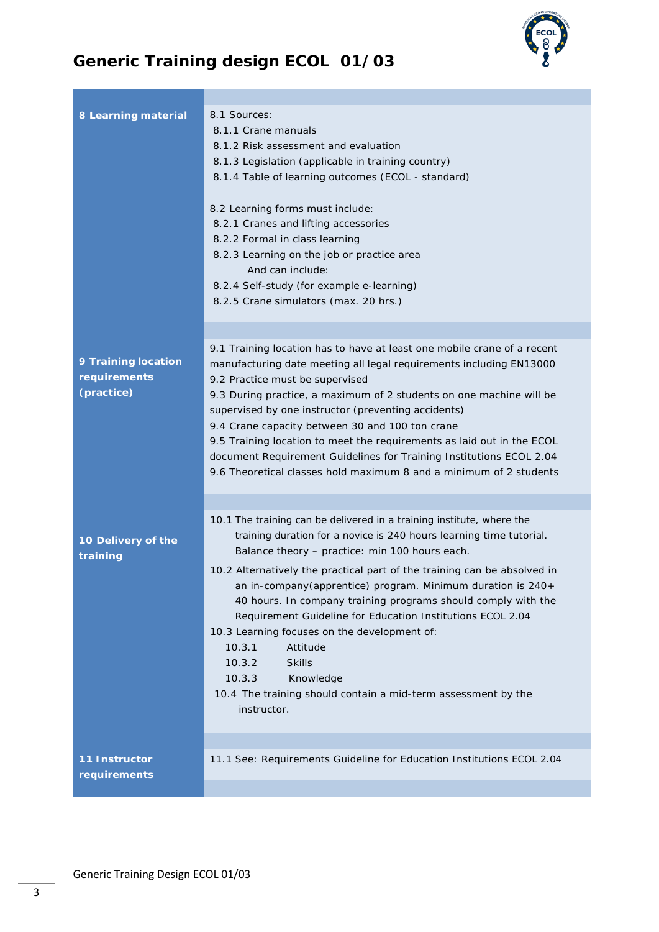

| <b>8 Learning material</b>                        | 8.1 Sources:<br>8.1.1 Crane manuals<br>8.1.2 Risk assessment and evaluation<br>8.1.3 Legislation (applicable in training country)<br>8.1.4 Table of learning outcomes (ECOL - standard)<br>8.2 Learning forms must include:<br>8.2.1 Cranes and lifting accessories<br>8.2.2 Formal in class learning<br>8.2.3 Learning on the job or practice area<br>And can include:<br>8.2.4 Self-study (for example e-learning)<br>8.2.5 Crane simulators (max. 20 hrs.)                                                                                                                                                                                                                     |
|---------------------------------------------------|-----------------------------------------------------------------------------------------------------------------------------------------------------------------------------------------------------------------------------------------------------------------------------------------------------------------------------------------------------------------------------------------------------------------------------------------------------------------------------------------------------------------------------------------------------------------------------------------------------------------------------------------------------------------------------------|
|                                                   |                                                                                                                                                                                                                                                                                                                                                                                                                                                                                                                                                                                                                                                                                   |
| 9 Training location<br>requirements<br>(practice) | 9.1 Training location has to have at least one mobile crane of a recent<br>manufacturing date meeting all legal requirements including EN13000<br>9.2 Practice must be supervised<br>9.3 During practice, a maximum of 2 students on one machine will be<br>supervised by one instructor (preventing accidents)<br>9.4 Crane capacity between 30 and 100 ton crane<br>9.5 Training location to meet the requirements as laid out in the ECOL<br>document Requirement Guidelines for Training Institutions ECOL 2.04<br>9.6 Theoretical classes hold maximum 8 and a minimum of 2 students                                                                                         |
|                                                   |                                                                                                                                                                                                                                                                                                                                                                                                                                                                                                                                                                                                                                                                                   |
| 10 Delivery of the<br>training                    | 10.1 The training can be delivered in a training institute, where the<br>training duration for a novice is 240 hours learning time tutorial.<br>Balance theory - practice: min 100 hours each.<br>10.2 Alternatively the practical part of the training can be absolved in<br>an in-company (apprentice) program. Minimum duration is 240+<br>40 hours. In company training programs should comply with the<br>Requirement Guideline for Education Institutions ECOL 2.04<br>10.3 Learning focuses on the development of:<br>10.3.1<br>Attitude<br>10.3.2<br><b>Skills</b><br>10.3.3<br>Knowledge<br>10.4 The training should contain a mid-term assessment by the<br>instructor. |
|                                                   |                                                                                                                                                                                                                                                                                                                                                                                                                                                                                                                                                                                                                                                                                   |
| 11 Instructor<br>requirements                     | 11.1 See: Requirements Guideline for Education Institutions ECOL 2.04                                                                                                                                                                                                                                                                                                                                                                                                                                                                                                                                                                                                             |